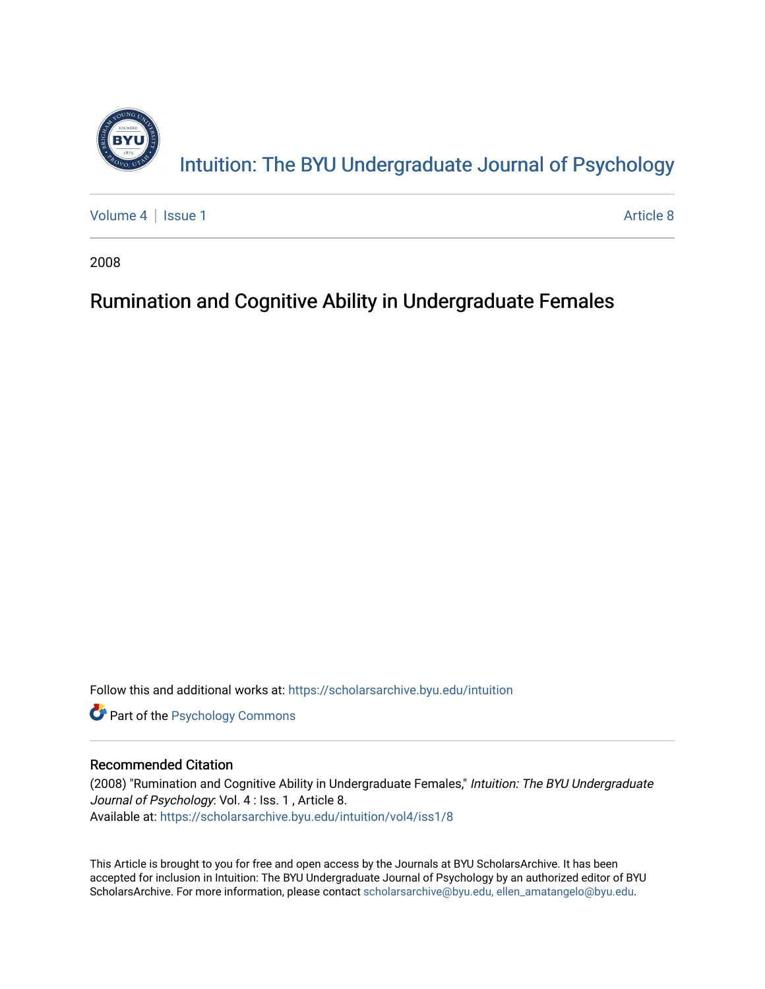

[Volume 4](https://scholarsarchive.byu.edu/intuition/vol4) | [Issue 1](https://scholarsarchive.byu.edu/intuition/vol4/iss1) Article 8

2008

# Rumination and Cognitive Ability in Undergraduate Females

Follow this and additional works at: [https://scholarsarchive.byu.edu/intuition](https://scholarsarchive.byu.edu/intuition?utm_source=scholarsarchive.byu.edu%2Fintuition%2Fvol4%2Fiss1%2F8&utm_medium=PDF&utm_campaign=PDFCoverPages) 

**Part of the Psychology Commons** 

# Recommended Citation

(2008) "Rumination and Cognitive Ability in Undergraduate Females," Intuition: The BYU Undergraduate Journal of Psychology: Vol. 4 : Iss. 1, Article 8. Available at: [https://scholarsarchive.byu.edu/intuition/vol4/iss1/8](https://scholarsarchive.byu.edu/intuition/vol4/iss1/8?utm_source=scholarsarchive.byu.edu%2Fintuition%2Fvol4%2Fiss1%2F8&utm_medium=PDF&utm_campaign=PDFCoverPages)

This Article is brought to you for free and open access by the Journals at BYU ScholarsArchive. It has been accepted for inclusion in Intuition: The BYU Undergraduate Journal of Psychology by an authorized editor of BYU ScholarsArchive. For more information, please contact [scholarsarchive@byu.edu, ellen\\_amatangelo@byu.edu.](mailto:scholarsarchive@byu.edu,%20ellen_amatangelo@byu.edu)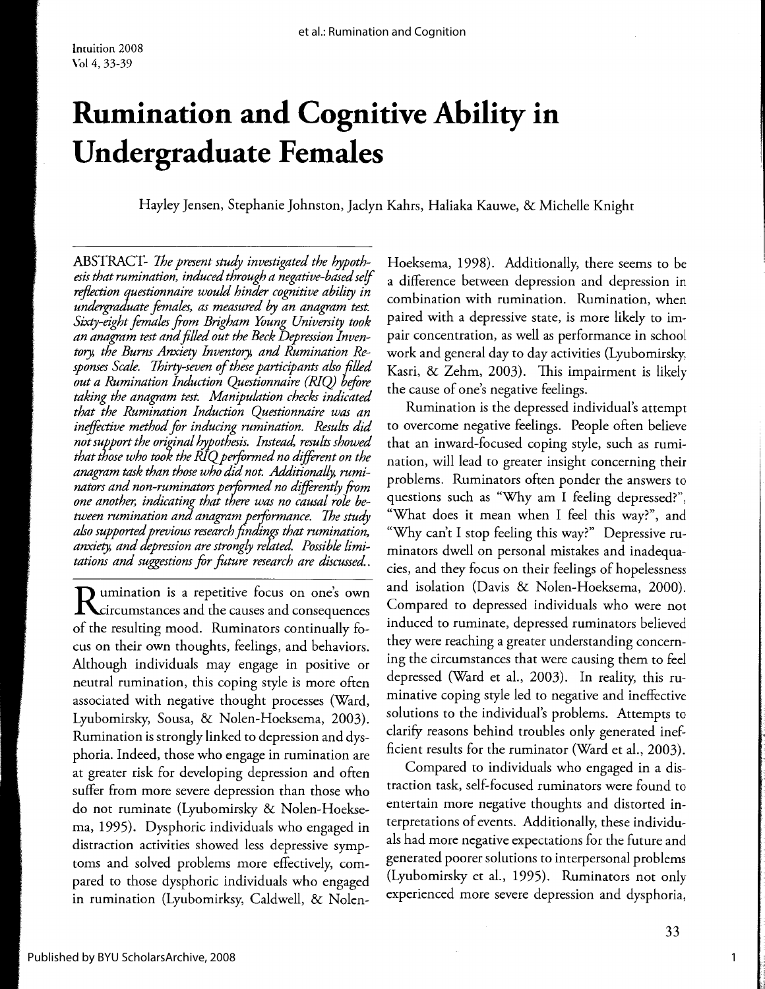# **Rumination and Cognitive Ability in Undergraduate Females**

Hayley Jensen, Stephanie Johnston, Jaclyn Kahrs, Haliaka Kauwe, & Michelle Knight

ABSTRACT- *The present study investigated the hypothesis that rumination, induced through a negative-based self reflection questionnaire would hinder cognitive ability in undergraduate females, as measured by an anagram test. Sixty-eight females from Brigham Young University took an anagram test and filled out the Beck Depression Inventory, the Burns Anxiety Inventory, and Rumination Responses Scale. Thirty-seven of these participants also filled out a Rumination Induction Questionnaire (RIQ) before*  taking the anagram test. Manipulation checks indicated *that the Rumination Induction Questionnaire was an ineffective method for inducing rumination. Results did not support the original hypothesis. Instead, results showed that those who took the RIQpeiformed no different on the anagram task than those who did not. Additionally, ruminators and non-ruminators performed no differently from one another, indicating that there was no causal role between rumination and anagram performance. The study also supported previous research finding; that rumination,*  anxiety, and depression are strongly related. Possible limi*tations and suggestions for future research are discussed..* 

**D** umination is a repetitive focus on one's own  $\mathbf I$  circumstances and the causes and consequences of the resulting mood. Ruminators continually focus on their own thoughts, feelings, and behaviors. Although individuals may engage in positive or neutral rumination, this coping style is more often associated with negative thought processes (Ward, Lyubomirsky, Sousa, & Nolen-Hoeksema, 2003). Rumination is strongly linked to depression and dysphoria. Indeed, those who engage in rumination are at greater risk for developing depression and often suffer from more severe depression than those who do not ruminate (Lyubomirsky & Nolen-Hoeksema, 1995). Dysphoric individuals who engaged in distraction activities showed less depressive symptoms and solved problems more effectively, compared to those dysphoric individuals who engaged in rumination (Lyubomirksy, Caldwell, & NolenHoeksema, 1998). Additionally, there seems to be a difference between depression and depression in combination with rumination. Rumination, when paired with a depressive state, is more likely to impair concentration, as well as performance in school work and general day to day activities (Lyubomirsky, Kasri, & Zehm, 2003). This impairment is likely the cause of one's negative feelings.

Rumination is the depressed individual's attempt to overcome negative feelings. People often believe that an inward-focused coping style, such as rumination, will lead to greater insight concerning their problems. Ruminators often ponder the answers to questions such as "Why am I feeling depressed?", "What does it mean when I feel this way?", and "Why can't I stop feeling this way?" Depressive ruminators dwell on personal mistakes and inadequacies, and they focus on their feelings of hopelessness and isolation (Davis & Nolen-Hoeksema, 2000). Compared to depressed individuals who were not induced to ruminate, depressed ruminators believed they were reaching a greater understanding concerning the circumstances that were causing them to feel depressed (Ward et al., 2003). In reality, this ruminative coping style led to negative and ineffective solutions to the individual's problems. Attempts to clarify reasons behind troubles only generated inefficient results for the ruminator (Ward et al., 2003).

Compared to individuals who engaged in a distraction task, self-focused ruminators were found to entertain more negative thoughts and distorted interpretations of events. Additionally, these individuals had more negative expectations for the future and generated poorer solutions to interpersonal problems (Lyubomirsky et al., 1995). Ruminators not only experienced more severe depression and dysphoria,

1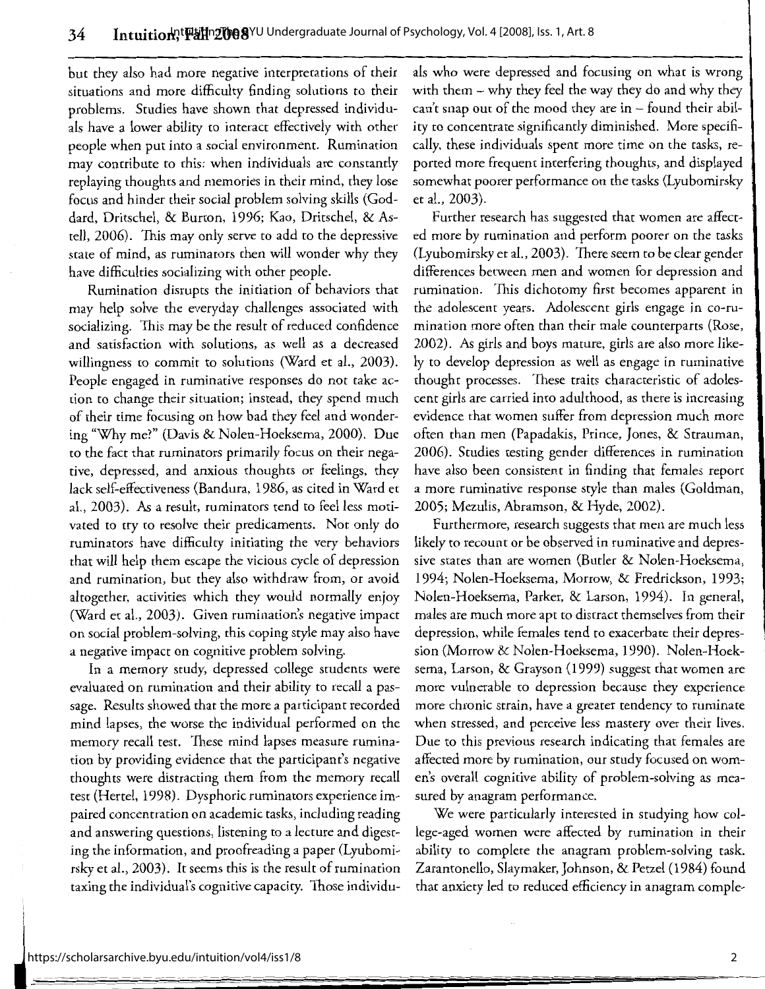but they also had more negative interpretations of their situations and more difficulty finding solutions to their problems. Studies have shown that depressed individuals have a lower ability to interact effectively with other people when put into a social environment. Rumination may contribute to this: when individuals are constantly replaying thoughts and memories in their mind, they lose focus and hinder their social problem solving skills (Goddard, Dritschel, & Burton, 1996; Kao, Dritschel, & Astell, 2006). This may only serve to add to the depressive state of mind, as ruminators then will wonder why they have difficulties socializing with other people.

Rumination disrupts the initiation of behaviors that may help solve the everyday challenges associated with socializing. This may be the result of reduced confidence and satisfaction with solutions, as well as a decreased willingness to commit to solutions (Ward et al., 2003). People engaged in ruminative responses do not take action to change their situation; instead, they spend much of their time focusing on how bad they feel and wondering "Why me?" (Davis & Nolen-Hoeksema, 2000). Due to the fact that ruminators primarily focus on their negative, depressed, and anxious thoughts or feelings, they lack self-effectiveness (Bandura, 1986, as cited in Ward et al., 2003). As a result, ruminators tend to feel less motivated to try to resolve their predicaments. Not only do ruminators have difficulty initiating the very behaviors that will help them escape the vicious cycle of depression and rumination, but they also withdraw from, or avoid altogether, activities which they would normally enjoy (Ward et al., 2003). Given rumination's negative impact on social problem-solving, this coping style may also have a negative impact on cognitive problem solving.

In a memory study, depressed college students were evaluated on rumination and their ability to recall a passage. Results showed that the more a participant recorded mind lapses, the worse the individual performed on the memory recall test. These mind lapses measure rumination by providing evidence that the participant's negative thoughts were distracting them from the memory recall test (Hertel, 1998). Dysphoric ruminators experience impaired concentration on academic tasks, including reading and answering questions, listening to a lecture and digesting the information, and proofreading a paper (Lyubomirsky et al., 2003). It seems this is the result of rumination taxing the individual's cognitive capacity. Those individuals who were depressed and focusing on what is wrong with them- why they feel the way they do and why they can't snap out of the mood they are  $in -$  found their ability to concentrate significantly diminished. More specifically, these individuals spent more time on the tasks, reported more frequent interfering thoughts, and displayed somewhat poorer performance on the tasks (Lyubomirsky et al., 2003).

Further research has suggested that women are affected more by rumination and perform poorer on the tasks (Lyubomirsky et al., 2003). There seem to be dear gender differences between men and women for depression and rumination. This dichotomy first becomes apparent in the adolescent years. Adolescent girls engage in co-rumination more often than their male counterparts (Rose, 2002). As girls and boys mature, girls are also more likely to develop depression as well as engage in ruminative thought processes. These traits characteristic of adolescent girls are carried into adulthood, as there is increasing evidence that women suffer from depression much more often than men (Papadakis, Prince, Jones, & Strauman, 2006). Studies testing gender differences in rumination have also been consistent in finding that females report a more ruminative response style than males (Goldman, 2005; Mezulis, Abramson, & Hyde, 2002).

Furthermore, research suggests that men are much less likely to recount or be observed in ruminative and depressive states than are women (Buder & Nolen-Hoeksema, 1994; Nolen-Hoeksema, Morrow, & Fredrickson, 1993; Nolen-Hoeksema, Parker, & Larson, 1994). In general, males are much more apt to distract themselves from their depression, while females tend to exacerbate their depression (Morrow & Nolen-Hoeksema, 1990). Nolen-Hoeksema, Larson, & Grayson (1999) suggest that women are more vulnerable to depression because they experience more chronic strain, have a greater tendency to ruminate when stressed, and perceive less mastery over their lives. Due to this previous research indicating that females are affected more by rumination, our study focused on women's overall cognitive ability of problem-solving as measured by anagram performance.

We were particularly interested in studying how college-aged women were affected by rumination in their ability to complete the anagram problem-solving task. Zarantonello, Slaymaker, Johnson, & Petzel (1984) found that anxiety led to reduced efficiency in anagram comple-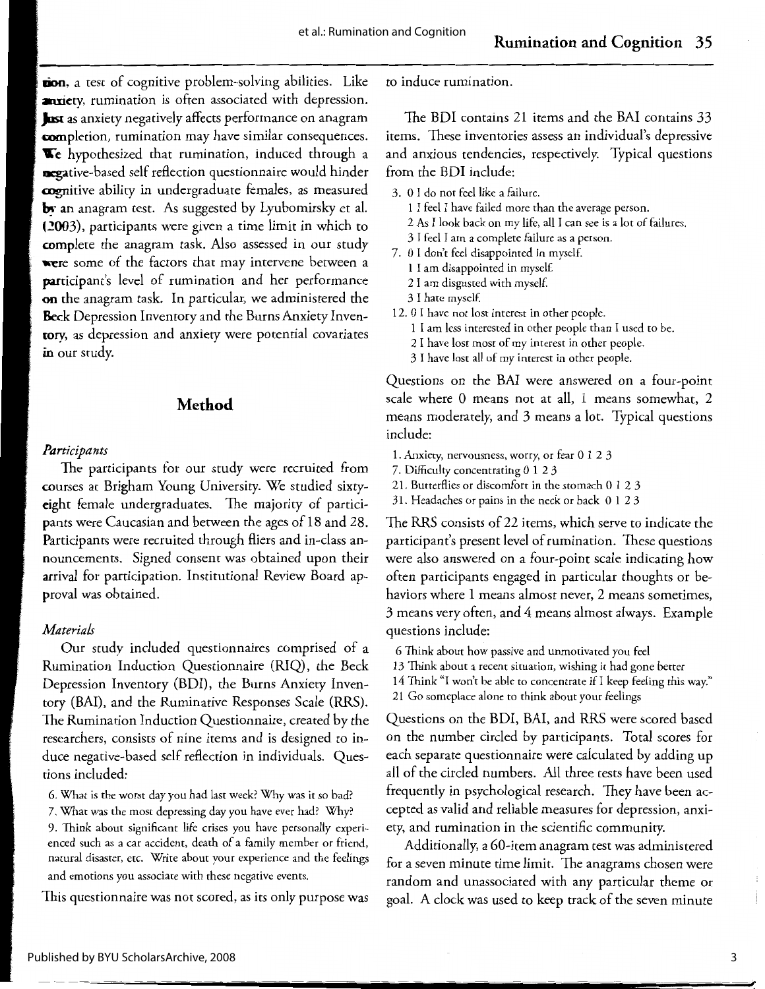**lion,** a test of cognitive problem-solving abilities. Like **anxiety**, rumination is often associated with depression. **Jose as** anxiety negatively affects performance on anagram **mmpletion,** rumination may have similar consequences.  $\mathbf{\nabla}$  hypothesized that rumination, induced through a **negative-based** self reflection questionnaire would hinder **cognitive** ability in undergraduate females, as measured **by an** anagram test. *As* suggested by Lyubomirsky et al. (2003), participants were given a time limit in which to **complete** the anagram task. Also assessed in our study **were** some of the factors that may intervene between a participant's level of rumination and her performance **on** the anagram task. In particular, we administered the **Beck** Depression Inventory and the Burns Anxiety Inven**tory,** as depression and anxiety were potential covariates **in** our study.

# **Method**

#### *Participants*

The participants for our study were recruited from courses at Brigham Young University. We studied sixtyeight female undergraduates. The majority of participants were Caucasian and between the ages of 18 and 28. Participants were recruited through fliers and in-class announcements. Signed consent was obtained upon their arrival for participation. Institutional Review Board approval was obtained.

#### *Materials*

Our study included questionnaires comprised of a Rumination Induction Questionnaire (RIQ), the Beck Depression Inventory (BDI), the Burns Anxiety Inventory (BAI), and the Ruminative Responses Scale (RRS). The Rumination Induction Questionnaire, created by the researchers, consists of nine items and is designed to induce negative-based self reflection in individuals. Questions included:

- 6. What is the worst day you had last week? Why was it so bad?
- 7. What was the most depressing day you have ever had? Why?

9. Think about significant life crises you have personally experienced such as a car accident, death of a family member or friend, natural disaster, etc. Write about your experience and the feelings and emotions you associate with these negative events.

This questionnaire was not scored, as its only purpose was

to induce rumination.

The BDI contains 21 items and the BAI contains 33 items. These inventories assess an individual's depressive and anxious tendencies, respectively. Typical questions from the BDI include:

- 3. 0 I do not feel like a failure.
	- 1 I feel I have failed more than the average person.
	- 2 *As* I look back on my life, all I can see is a lot of failures.
	- 3 I feel I am a complete failure as a person.
- 7. 0 I don't feel disappointed in myself.
	- 1 I am disappointed in myself.
	- 2 I am disgusted with mysel£
	- 3 I hate myself.
- 12. 0 I have not lost interest in other people.
	- 1 I am less interested in other people than I used to be.
	- 2 I have lost most of my interest in other people.
	- 3 I have lost all of my interest in other people.

Questions on the BAI were answered on a four-point scale where O means not at all, 1 means somewhat, 2 means moderately, and 3 means a lot. Typical questions include:

- 1. Anxiety, nervousness, worry, or fear O **1** 2 3
- 7. Difficulty concentrating O 1 2 3
- 21. Butterflies or discomfort in the stomach O 1 2 3
- 31. Headaches or pains in the neck or back O 1 2 3

The RRS consists of 22 items, which serve to indicate the participant's present level of rumination. These questions were also answered on a four-point scale indicating how often participants engaged in particular thoughts or behaviors where 1 means almost never, 2 means sometimes, 3 means very often, and 4 means almost always. Example questions include:

- 6 Think about how passive and unmotivated you feel
- 13 Think about a recent situation, wishing it had gone better
- 14 Think "I won't be able to concentrate if I keep feeling this way."
- 21 Go someplace alone to think about your feelings

Questions on the BDI, BAI, and RRS were scored based on the number circled by participants. Total scores for each separate questionnaire were calculated by adding up all of the circled numbers. All three tests have been used frequently in psychological research. They have been accepted as valid and reliable measures for depression, anxiety, and rumination in the scientific community.

Additionally, a 60-item anagram test was administered for a seven minute time limit. The anagrams chosen were random and unassociated with any particular theme or goal. A clock was used to keep track of the seven minute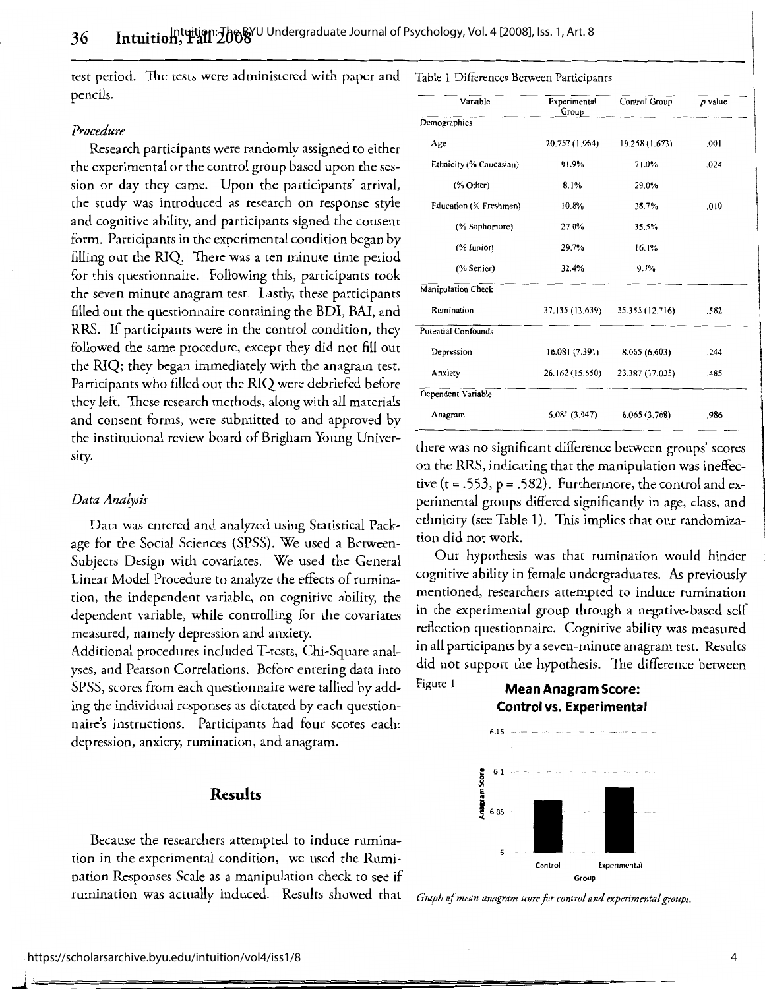test period. The tests were administered with paper and Table 1 Differences Between Participants pencils.

#### *Procedure*

Research participants were randomly assigned to either the experimental or the control group based upon the session or day they came. Upon the participants' arrival, the study was introduced as research on response style and cognitive ability, and participants signed the consent form. Participants in the experimental condition began by filling out the RIQ. There was a ten minute time period for this questionnaire. Following this, participants took the seven minute anagram test. Lastly, these participants filled out the questionnaire containing the BDI, BAI, and RRS. If participants were in the control condition, they followed the same procedure, except they did not fill out the RIQ; they began immediately with the anagram test. Participants who filled out the RIQ were debriefed before they left. These research methods, along with all materials and consent forms, were submitted to and approved by the institutional review board of Brigham Young University.

#### *Data Analysis*

Data was entered and analyzed using Statistical Package for the Social Sciences (SPSS). We used a Between-Subjects Design with covariates. We used the General Linear Model Procedure to analyze the effects of rumination, the independent variable, on cognitive ability, the dependent variable, while controlling for the covariates measured, namely depression and anxiety.

Additional procedures included T-tests, Chi-Square analyses, and Pearson Correlations. Before entering data into SPSS, scores from each questionnaire were tallied by adding the individual responses as dictated by each questionnaire's instructions. Participants had four scores each: depression, anxiety, rumination, and anagram.

# **Results**

Because the researchers attempted to induce rumination in the experimental condition, we used the Rumination Responses Scale as a manipulation check to see if rumination was actually induced. Results showed that

| Variable                   | Experimental<br>Group | Control Group   | p value |
|----------------------------|-----------------------|-----------------|---------|
| Demographics               |                       |                 |         |
| Age                        | 20.757 (1.964)        | 19.258 (1.673)  | .001    |
| Ethnicity (% Caucasian)    | 91.9%                 | 71.0%           | .024    |
| $(\%$ Other)               | 8.1%                  | 29.0%           |         |
| Education (% Freshmen)     | 10.8%                 | 38.7%           | .010    |
| (% Sophomore)              | 27.0%                 | 35.5%           |         |
| (% Junior)                 | 29.7%                 | 16.1%           |         |
| (% Senior)                 | 32.4%                 | 9.7%            |         |
| Manipulation Check         |                       |                 |         |
| Rumination                 | 37.135 (13.639)       | 35.355 (12.716) | .582    |
| <b>Potential Confounds</b> |                       |                 |         |
| Depression                 | 10.081 (7.391)        | 8.065 (6.603)   | .244    |
| Anxiety                    | 26.162 (15.550)       | 23.387 (17.035) | .485    |
| Dependent Variable         |                       |                 |         |
| Anagram                    | 6.081(3.947)          | 6.065(3.768)    | .986    |

there was no significant difference between groups' scores on the RRS, indicating that the manipulation was ineffective (t = .553, p = .582). Furthermore, the control and experimental groups differed significantly in age, class, and ethnicity (see Table I). This implies that our randomization did not work.

Our hypothesis was that rumination would hinder cognitive ability in female undergraduates. As previously mentioned, researchers attempted to induce rumination in the experimental group through a negative-based self reflection questionnaire. Cognitive ability was measured in all participants by a seven-minute anagram test. Results did not support the hypothesis. The difference between

Figure 1 **Mean Anagram Score:** 





*Graph of mean anagram score for control and experimental groups.*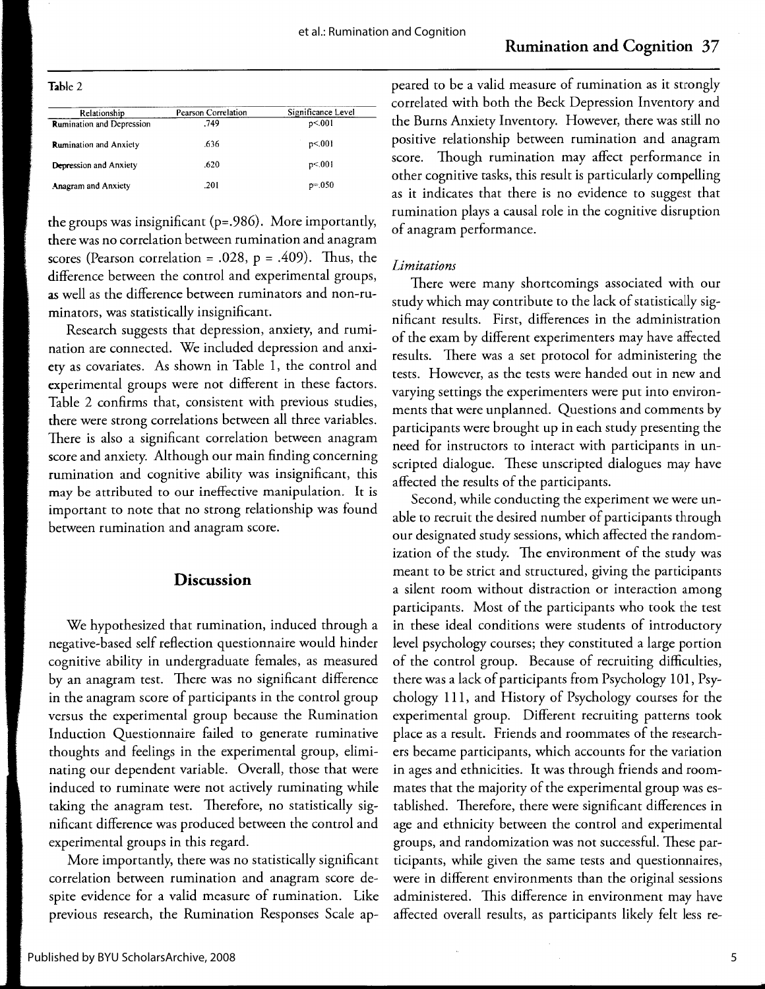|--|--|

| Relationship                     | Pearson Correlation | Significance Level |
|----------------------------------|---------------------|--------------------|
| <b>Rumination and Depression</b> | .749                | p<.001             |
| <b>Rumination and Anxiety</b>    | .636                | p<.001             |
| Depression and Anxiety           | .620                | p<.001             |
| <b>Anagram and Anxiety</b>       | .201                | $p = 0.050$        |

**the** groups was insignificant (p=.986). More importantly, there was no correlation between rumination and anagram scores (Pearson correlation = .028,  $p = .409$ ). Thus, the difference between the control and experimental groups, as well as the difference between ruminators and non-ruminators, was statistically insignificant.

Research suggests that depression, anxiety, and rumination are connected. We included depression and anxiety as covariates. As shown in Table 1, the control and experimental groups were not different in these factors. Table 2 confirms that, consistent with previous studies, there were strong correlations between all three variables. There is also a significant correlation between anagram score and anxiety. Although our main finding concerning rumination and cognitive ability was insignificant, this may be attributed to our ineffective manipulation. It is important to note that no strong relationship was found between rumination and anagram score.

# **Discussion**

We hypothesized that rumination, induced through a negative-based self reflection questionnaire would hinder cognitive ability in undergraduate females, as measured by an anagram test. There was no significant difference in the anagram score of participants in the control group versus the experimental group because the Rumination Induction Questionnaire failed to generate ruminative thoughts and feelings in the experimental group, eliminating our dependent variable. Overall, those that were induced to ruminate were not actively ruminating while taking the anagram test. Therefore, no statistically significant difference was produced between the control and experimental groups in this regard.

More importantly, there was no statistically significant correlation between rumination and anagram score despite evidence for a valid measure of rumination. Like previous research, the Rumination Responses Scale appeared to be a valid measure of rumination as it strongly correlated with both the Beck Depression Inventory and the Burns Anxiety Inventory. However, there was still no positive relationship between rumination and anagram score. Though rumination may affect performance in other cognitive tasks, this result is particularly compelling as it indicates that there is no evidence to suggest that rumination plays a causal role in the cognitive disruption of anagram performance.

# *Limitations*

There were many shortcomings associated with our study which may contribute to the lack of statistically significant results. First, differences in the administration of the exam by different experimenters may have affected results. There was a set protocol for administering the tests. However, as the tests were handed out in new and varying settings the experimenters were put into environments that were unplanned. Questions and comments by participants were brought up in each study presenting the need for instructors to interact with participants in unscripted dialogue. These unscripted dialogues may have affected the results of the participants.

Second, while conducting the experiment we were unable to recruit the desired number of participants through our designated study sessions, which affected the randomization of the study. The environment of the study was meant to be strict and structured, giving the participants a silent room without distraction or interaction among participants. Most of the participants who took the test in these ideal conditions were students of introductory level psychology courses; they constituted a large portion of the control group. Because of recruiting difficulties, there was a lack of participants from Psychology 101, Psychology 111, and History of Psychology courses for the experimental group. Different recruiting patterns took place as a result. Friends and roommates of the researchers became participants, which accounts for the variation in ages and ethnicities. It was through friends and roommates that the majority of the experimental group was established. Therefore, there were significant differences in age and ethnicity between the control and experimental groups, and randomization was not successful. These participants, while given the same tests and questionnaires, were in different environments than the original sessions administered. This difference in environment may have affected overall results, as participants likely felt less re-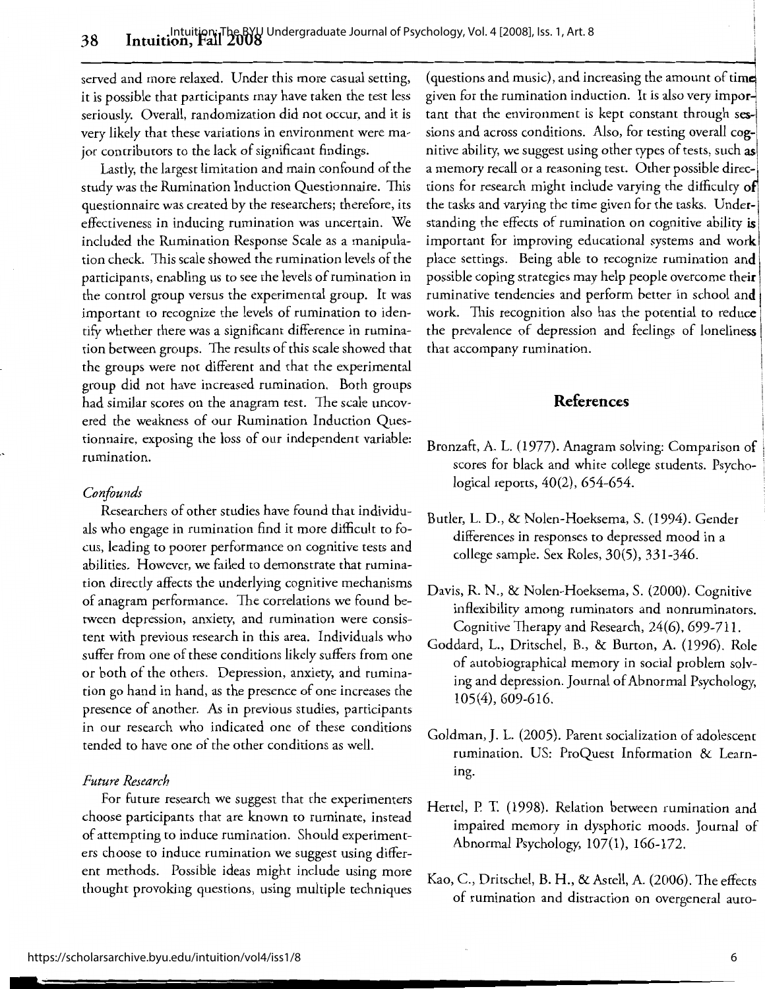served and more relaxed. Under this more casual setting, it is possible that participants may have taken the test less seriously. Overall, randomization did not occur, and it is very likely that these variations in environment were major contributors to the lack of significant findings.

Lastly, the largest limitation and main confound of the study was the Rumination Induction Questionnaire. This questionnaire was created by the researchers; therefore, its effectiveness in inducing rumination was uncertain. We included the Rumination Response Scale as a manipulation check. This scale showed the rumination levels of the participants, enabling us to see the levels of rumination in the control group versus the experimental group. It was important to recognize the levels of rumination to identify whether there was a significant difference in rumination between groups. The results of this scale showed that the groups were not different and that the experimental group did not have increased rumination. Both groups had similar scores on the anagram test. The scale uncovered the weakness of our Rumination Induction Questionnaire, exposing the loss of our independent variable: rumination.

#### *Confounds*

Researchers of other studies have found that individuals who engage in rumination find it more difficult to focus, leading to poorer performance on cognitive tests and abilities. However, we failed to demonstrate that rumination directly affects the underlying cognitive mechanisms of anagram performance. The correlations we found between depression, anxiety, and rumination were consistent with previous research in this area. Individuals who suffer from one of these conditions likely suffers from one or both of the others. Depression, anxiety, and rumination go hand in hand, as the presence of one increases the presence of another. As in previous studies, participants in our research who indicated one of these conditions tended to have one of the other conditions as well.

# *Future Research*

For future research we suggest that the experimenters choose participants that are known to ruminate, instead of attempting to induce rumination. Should experimenters choose to induce rumination we suggest using different methods. Possible ideas might include using more thought provoking questions, using multiple techniques (questions and music), and increasing the amount of time given for the rumination induction. It is also very important that the environment is kept constant through sessions and across conditions. Also, for testing overall cognitive ability, we suggest using other types of tests, such **as**  a memory recall or a reasoning test. Other possible directions for research might include varying the difficulty **<sup>o</sup>** the tasks and varying the time given for the tasks. Understanding the effects of rumination on cognitive ability is important for improving educational systems and **work**  place settings. Being able to recognize rumination **and**  possible coping strategies may help people overcome **their**  ruminative tendencies and perform better in school **and**  work. This recognition also has the potential to reduce the prevalence of depression and feelings of loneliness that accompany rumination.

# **References**

- Bronzaft, A. L. (1977). Anagram solving: Comparison of scores for black and white college students. Psychological reports, 40(2), 654-654.
- Buder, L. D., & Nolen-Hoeksema, S. (1994). Gender differences in responses to depressed mood in a college sample. Sex Roles, 30(5), 331-346.
- Davis, R. N., & Nolen-Hoeksema, S. (2000). Cognitive inflexibility among ruminators and nonruminators. Cognitive Therapy and Research, 24(6), 699-711.
- Goddard, L., Dritschel, B., & Burton, A. (1996). Role of autobiographical memory in social problem solving and depression. Journal of Abnormal Psychology, 105(4), 609-616.
- Goldman, J. L. (2005). Parent socialization of adolescent rumination. US: ProQuest Information & Learning.
- Hertel, P. T. (1998). Relation between rumination and impaired memory in dysphoric moods. Journal of Abnormal Psychology, 107(1), 166-172.
- Kao, C., Dritschel, B. H., & Astell, A. (2006). The effects of rumination and distraction on overgeneral auto-